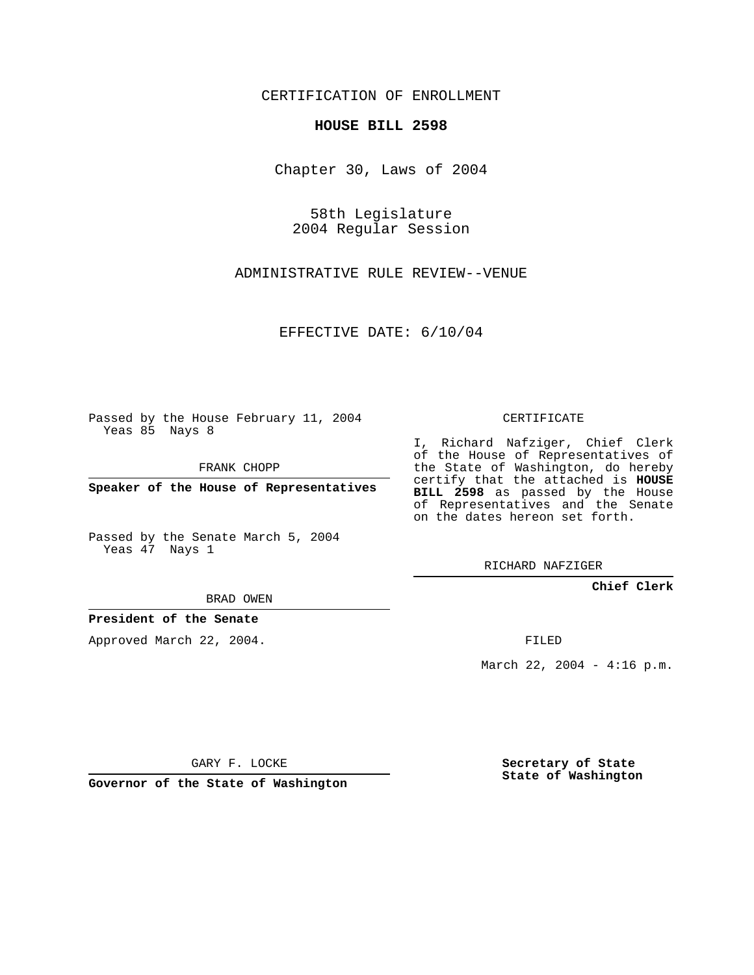CERTIFICATION OF ENROLLMENT

### **HOUSE BILL 2598**

Chapter 30, Laws of 2004

58th Legislature 2004 Regular Session

ADMINISTRATIVE RULE REVIEW--VENUE

EFFECTIVE DATE: 6/10/04

Passed by the House February 11, 2004 Yeas 85 Nays 8

FRANK CHOPP

**Speaker of the House of Representatives**

Passed by the Senate March 5, 2004 Yeas 47 Nays 1

#### BRAD OWEN

### **President of the Senate**

Approved March 22, 2004.

CERTIFICATE

I, Richard Nafziger, Chief Clerk of the House of Representatives of the State of Washington, do hereby certify that the attached is **HOUSE BILL 2598** as passed by the House of Representatives and the Senate on the dates hereon set forth.

RICHARD NAFZIGER

**Chief Clerk**

FILED

March 22, 2004 - 4:16 p.m.

GARY F. LOCKE

**Governor of the State of Washington**

**Secretary of State State of Washington**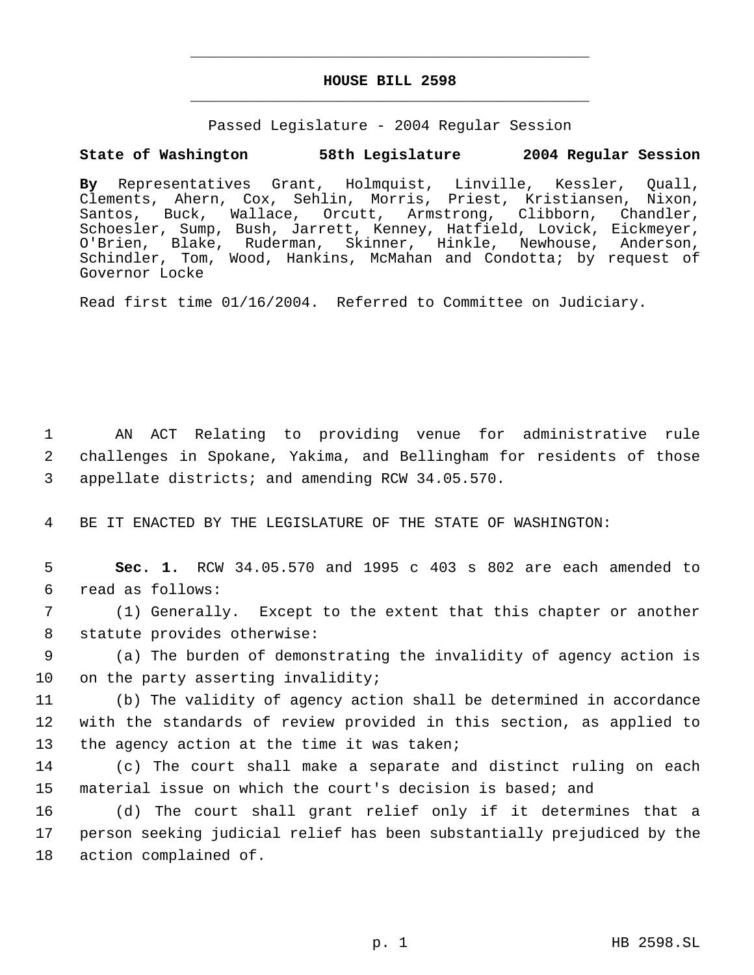## **HOUSE BILL 2598** \_\_\_\_\_\_\_\_\_\_\_\_\_\_\_\_\_\_\_\_\_\_\_\_\_\_\_\_\_\_\_\_\_\_\_\_\_\_\_\_\_\_\_\_\_

\_\_\_\_\_\_\_\_\_\_\_\_\_\_\_\_\_\_\_\_\_\_\_\_\_\_\_\_\_\_\_\_\_\_\_\_\_\_\_\_\_\_\_\_\_

Passed Legislature - 2004 Regular Session

# **State of Washington 58th Legislature 2004 Regular Session**

**By** Representatives Grant, Holmquist, Linville, Kessler, Quall, Clements, Ahern, Cox, Sehlin, Morris, Priest, Kristiansen, Nixon, Santos, Buck, Wallace, Orcutt, Armstrong, Clibborn, Chandler, Schoesler, Sump, Bush, Jarrett, Kenney, Hatfield, Lovick, Eickmeyer, O'Brien, Blake, Ruderman, Skinner, Hinkle, Newhouse, Anderson, Schindler, Tom, Wood, Hankins, McMahan and Condotta; by request of Governor Locke

Read first time 01/16/2004. Referred to Committee on Judiciary.

 1 AN ACT Relating to providing venue for administrative rule 2 challenges in Spokane, Yakima, and Bellingham for residents of those 3 appellate districts; and amending RCW 34.05.570.

4 BE IT ENACTED BY THE LEGISLATURE OF THE STATE OF WASHINGTON:

 5 **Sec. 1.** RCW 34.05.570 and 1995 c 403 s 802 are each amended to 6 read as follows:

 7 (1) Generally. Except to the extent that this chapter or another 8 statute provides otherwise:

 9 (a) The burden of demonstrating the invalidity of agency action is 10 on the party asserting invalidity;

11 (b) The validity of agency action shall be determined in accordance 12 with the standards of review provided in this section, as applied to 13 the agency action at the time it was taken;

14 (c) The court shall make a separate and distinct ruling on each 15 material issue on which the court's decision is based; and

16 (d) The court shall grant relief only if it determines that a 17 person seeking judicial relief has been substantially prejudiced by the 18 action complained of.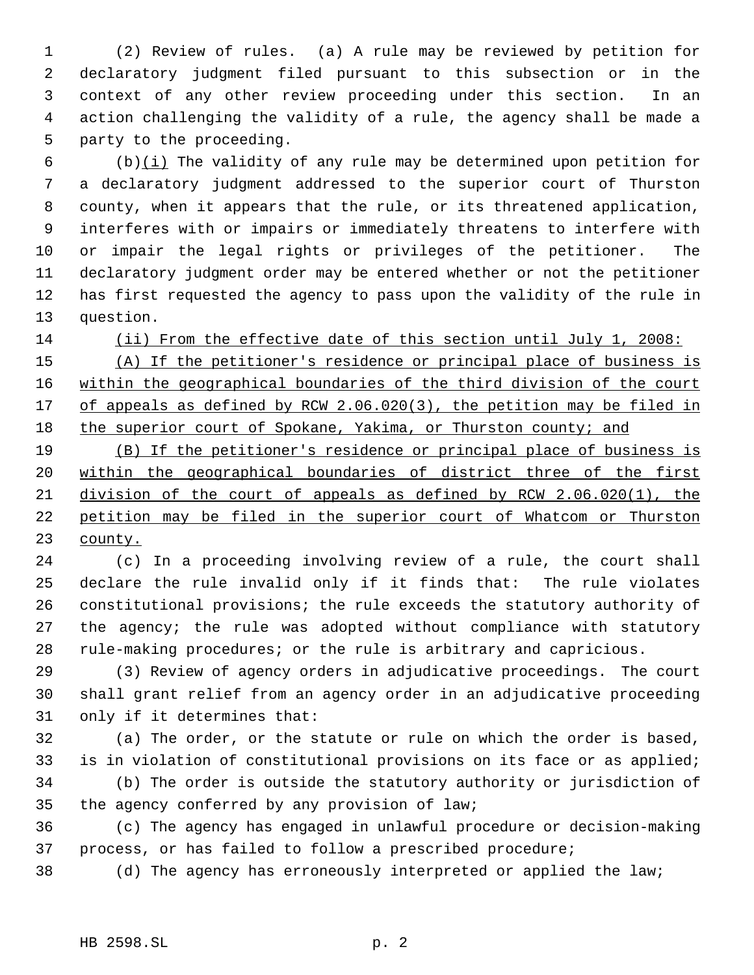(2) Review of rules. (a) A rule may be reviewed by petition for declaratory judgment filed pursuant to this subsection or in the context of any other review proceeding under this section. In an action challenging the validity of a rule, the agency shall be made a party to the proceeding.

6 (b) $(i)$  The validity of any rule may be determined upon petition for a declaratory judgment addressed to the superior court of Thurston county, when it appears that the rule, or its threatened application, interferes with or impairs or immediately threatens to interfere with or impair the legal rights or privileges of the petitioner. The declaratory judgment order may be entered whether or not the petitioner has first requested the agency to pass upon the validity of the rule in question.

(ii) From the effective date of this section until July 1, 2008:

 (A) If the petitioner's residence or principal place of business is within the geographical boundaries of the third division of the court 17 of appeals as defined by RCW 2.06.020(3), the petition may be filed in 18 the superior court of Spokane, Yakima, or Thurston county; and

 (B) If the petitioner's residence or principal place of business is within the geographical boundaries of district three of the first division of the court of appeals as defined by RCW 2.06.020(1), the petition may be filed in the superior court of Whatcom or Thurston county.

 (c) In a proceeding involving review of a rule, the court shall declare the rule invalid only if it finds that: The rule violates constitutional provisions; the rule exceeds the statutory authority of the agency; the rule was adopted without compliance with statutory rule-making procedures; or the rule is arbitrary and capricious.

 (3) Review of agency orders in adjudicative proceedings. The court shall grant relief from an agency order in an adjudicative proceeding only if it determines that:

 (a) The order, or the statute or rule on which the order is based, is in violation of constitutional provisions on its face or as applied; (b) The order is outside the statutory authority or jurisdiction of

the agency conferred by any provision of law;

 (c) The agency has engaged in unlawful procedure or decision-making process, or has failed to follow a prescribed procedure;

(d) The agency has erroneously interpreted or applied the law;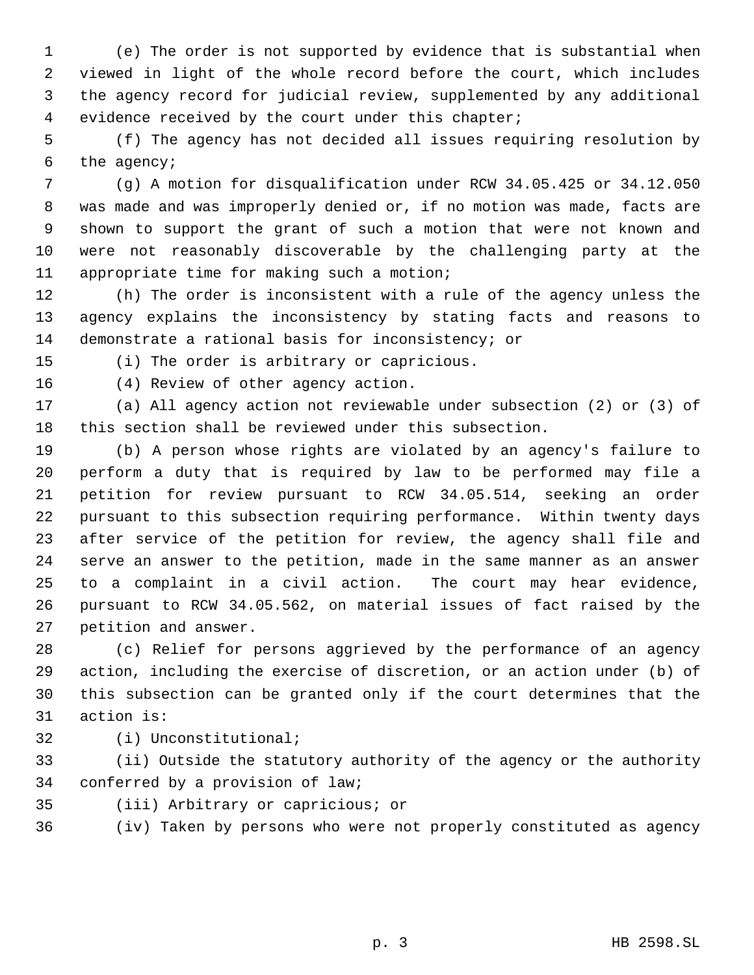(e) The order is not supported by evidence that is substantial when viewed in light of the whole record before the court, which includes the agency record for judicial review, supplemented by any additional evidence received by the court under this chapter;

 (f) The agency has not decided all issues requiring resolution by the agency;

 (g) A motion for disqualification under RCW 34.05.425 or 34.12.050 was made and was improperly denied or, if no motion was made, facts are shown to support the grant of such a motion that were not known and were not reasonably discoverable by the challenging party at the appropriate time for making such a motion;

 (h) The order is inconsistent with a rule of the agency unless the agency explains the inconsistency by stating facts and reasons to demonstrate a rational basis for inconsistency; or

 (i) The order is arbitrary or capricious. (4) Review of other agency action.

 (a) All agency action not reviewable under subsection (2) or (3) of this section shall be reviewed under this subsection.

 (b) A person whose rights are violated by an agency's failure to perform a duty that is required by law to be performed may file a petition for review pursuant to RCW 34.05.514, seeking an order pursuant to this subsection requiring performance. Within twenty days after service of the petition for review, the agency shall file and serve an answer to the petition, made in the same manner as an answer to a complaint in a civil action. The court may hear evidence, pursuant to RCW 34.05.562, on material issues of fact raised by the petition and answer.

 (c) Relief for persons aggrieved by the performance of an agency action, including the exercise of discretion, or an action under (b) of this subsection can be granted only if the court determines that the action is:

(i) Unconstitutional;

 (ii) Outside the statutory authority of the agency or the authority conferred by a provision of law;

(iii) Arbitrary or capricious; or

(iv) Taken by persons who were not properly constituted as agency